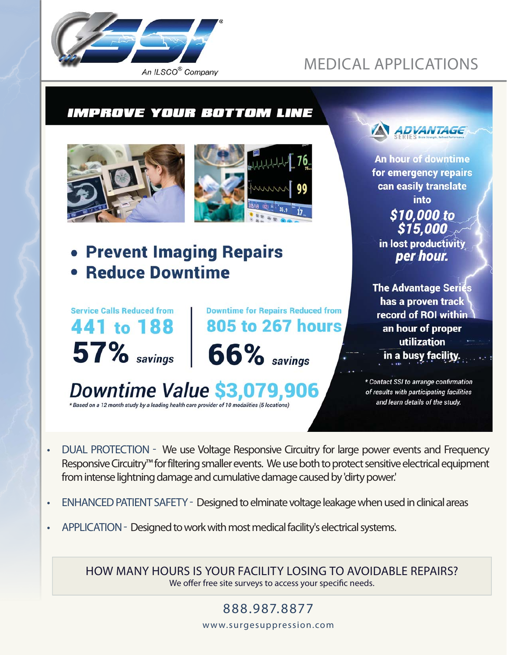

# MEDICAL APPLICATIONS

## **IMPROVE YOUR BOTTOM LINE**





• Prevent Imaging Repairs **• Reduce Downtime** 



**Downtime for Repairs Reduced from 805 to 267 hours** 

```
66\% savings
```
Downtime Value \$3,079,906 \* Based on a 12 month study by a leading health care provider of 10 modalities (5 locations)



**An hour of downtime** for emergency repairs can easily translate **into** \$10,000 to \$15,000 in lost productivity per hour.

**The Advantage Series** has a proven track record of ROI within an hour of proper utilization in a busy facility.

\* Contact SSI to arrange confirmation of results with participating facilities and learn details of the study.

- DUAL PROTECTION We use Voltage Responsive Circuitry for large power events and Frequency Responsive Circuitry™ for filtering smaller events. We use both to protect sensitive electrical equipment from intense lightning damage and cumulative damage caused by 'dirty power.'
- ENHANCED PATIENT SAFETY Designed to elminate voltage leakage when used in clinical areas
- APPLICATION Designed to work with most medical facility's electrical systems.

HOW MANY HOURS IS YOUR FACILITY LOSING TO AVOIDABLE REPAIRS? We offer free site surveys to access your specific needs.

> 888.987. 8877 www.surgesuppression.com